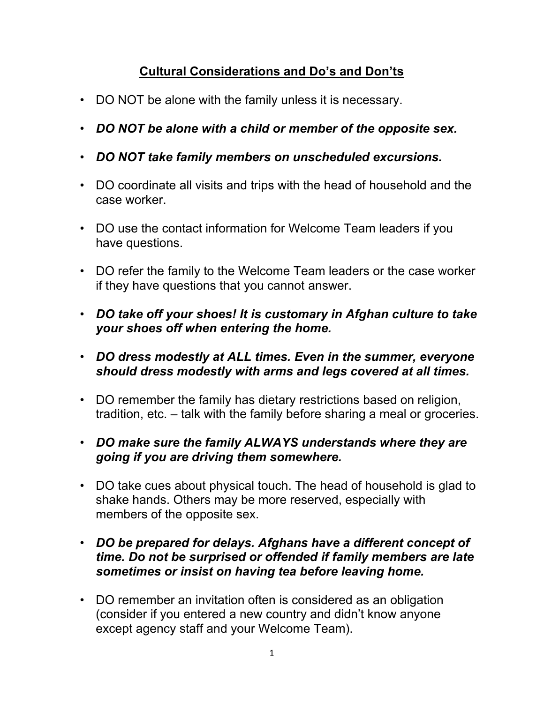## Cultural Considerations and Do's and Don'ts

- DO NOT be alone with the family unless it is necessary.
- DO NOT be alone with a child or member of the opposite sex.
- DO NOT take family members on unscheduled excursions.
- DO coordinate all visits and trips with the head of household and the case worker.
- DO use the contact information for Welcome Team leaders if you have questions.
- DO refer the family to the Welcome Team leaders or the case worker if they have questions that you cannot answer.
- DO take off your shoes! It is customary in Afghan culture to take your shoes off when entering the home.
- DO dress modestly at ALL times. Even in the summer, everyone should dress modestly with arms and legs covered at all times.
- DO remember the family has dietary restrictions based on religion, tradition, etc. – talk with the family before sharing a meal or groceries.
- DO make sure the family ALWAYS understands where they are going if you are driving them somewhere.
- DO take cues about physical touch. The head of household is glad to shake hands. Others may be more reserved, especially with members of the opposite sex.
- DO be prepared for delays. Afghans have a different concept of time. Do not be surprised or offended if family members are late sometimes or insist on having tea before leaving home.
- DO remember an invitation often is considered as an obligation (consider if you entered a new country and didn't know anyone except agency staff and your Welcome Team).